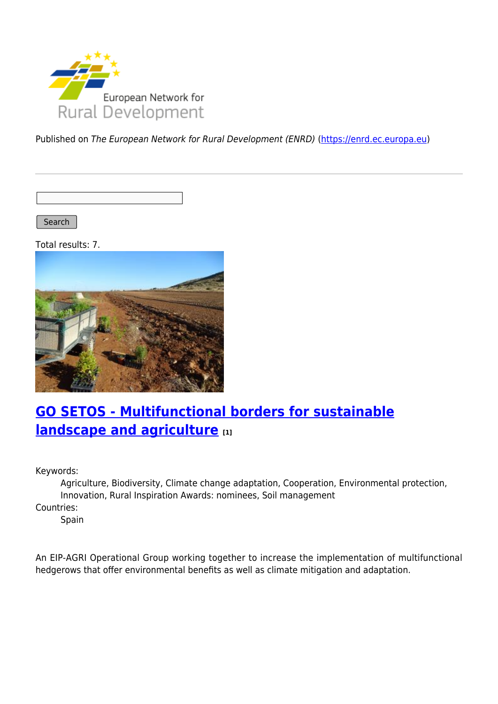

Published on The European Network for Rural Development (ENRD) [\(https://enrd.ec.europa.eu](https://enrd.ec.europa.eu))

Search |

Total results: 7.



## **[GO SETOS - Multifunctional borders for sustainable](https://enrd.ec.europa.eu/projects-practice/go-setos-multifunctional-borders-sustainable-landscape-and-agriculture_en) [landscape and agriculture](https://enrd.ec.europa.eu/projects-practice/go-setos-multifunctional-borders-sustainable-landscape-and-agriculture_en) [1]**

Keywords:

Agriculture, Biodiversity, Climate change adaptation, Cooperation, Environmental protection, Innovation, Rural Inspiration Awards: nominees, Soil management

Countries:

Spain

An EIP-AGRI Operational Group working together to increase the implementation of multifunctional hedgerows that offer environmental benefits as well as climate mitigation and adaptation.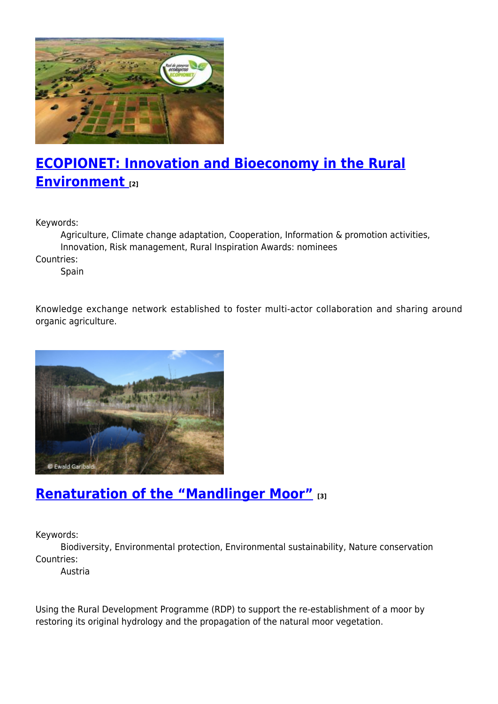

# **[ECOPIONET: Innovation and Bioeconomy in the Rural](https://enrd.ec.europa.eu/projects-practice/ecopionet-innovation-and-bioeconomy-rural-environment_en) [Environment](https://enrd.ec.europa.eu/projects-practice/ecopionet-innovation-and-bioeconomy-rural-environment_en) [2]**

Keywords:

Agriculture, Climate change adaptation, Cooperation, Information & promotion activities, Innovation, Risk management, Rural Inspiration Awards: nominees

Countries:

Spain

Knowledge exchange network established to foster multi-actor collaboration and sharing around organic agriculture.



#### **[Renaturation of the "Mandlinger Moor"](https://enrd.ec.europa.eu/projects-practice/renaturation-mandlinger-moor_en) [3]**

Keywords:

Biodiversity, Environmental protection, Environmental sustainability, Nature conservation Countries:

Austria

Using the Rural Development Programme (RDP) to support the re-establishment of a moor by restoring its original hydrology and the propagation of the natural moor vegetation.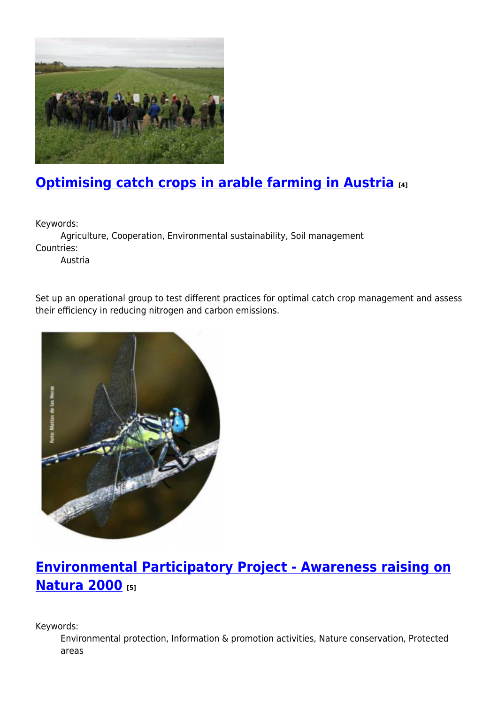

## **[Optimising catch crops in arable farming in Austria](https://enrd.ec.europa.eu/projects-practice/optimising-catch-crops-arable-farming-austria_en) [4]**

Keywords:

Agriculture, Cooperation, Environmental sustainability, Soil management Countries:

Austria

Set up an operational group to test different practices for optimal catch crop management and assess their efficiency in reducing nitrogen and carbon emissions.



## **[Environmental Participatory Project - Awareness raising on](https://enrd.ec.europa.eu/projects-practice/environmental-participatory-project-awareness-raising-natura-2000_en) [Natura 2000](https://enrd.ec.europa.eu/projects-practice/environmental-participatory-project-awareness-raising-natura-2000_en) [5]**

Keywords:

Environmental protection, Information & promotion activities, Nature conservation, Protected areas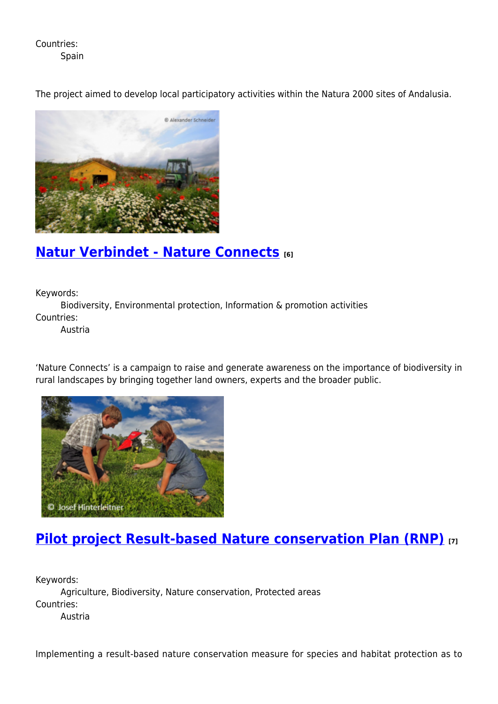Countries:

Spain

The project aimed to develop local participatory activities within the Natura 2000 sites of Andalusia.



#### **[Natur Verbindet - Nature Connects](https://enrd.ec.europa.eu/projects-practice/natur-verbindet-nature-connects_en) [6]**

Keywords:

Biodiversity, Environmental protection, Information & promotion activities Countries:

Austria

'Nature Connects' is a campaign to raise and generate awareness on the importance of biodiversity in rural landscapes by bringing together land owners, experts and the broader public.



### **[Pilot project Result-based Nature conservation Plan \(RNP\)](https://enrd.ec.europa.eu/projects-practice/pilot-project-result-based-nature-conservation-plan-rnp_en) [7]**

Keywords: Agriculture, Biodiversity, Nature conservation, Protected areas Countries: Austria

Implementing a result-based nature conservation measure for species and habitat protection as to